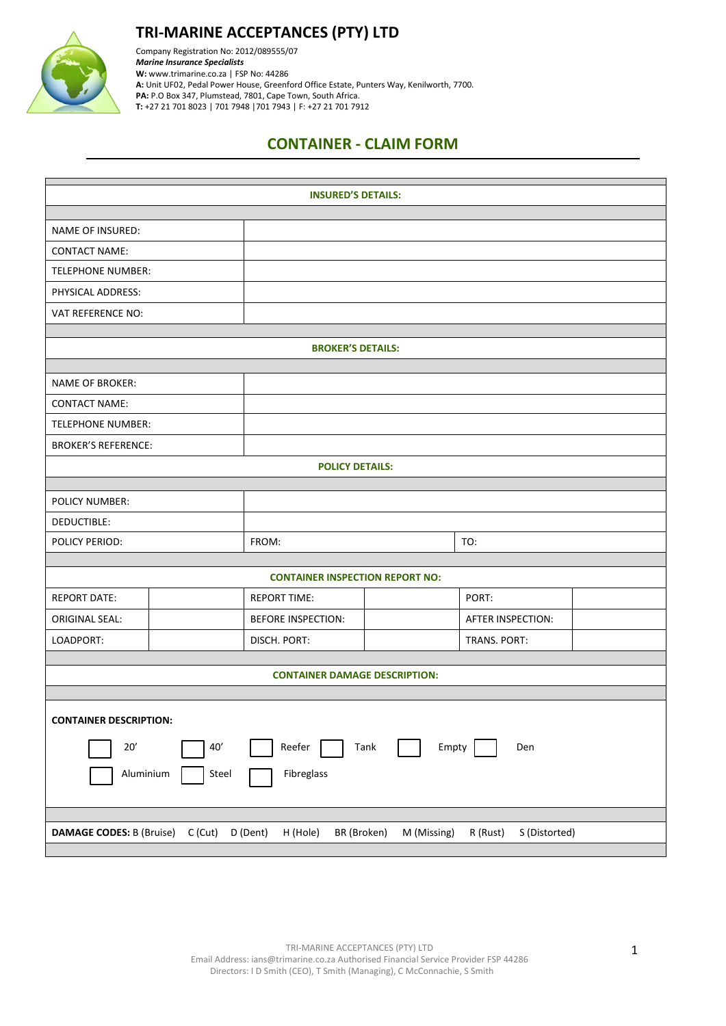

#### **TRI-MARINE ACCEPTANCES (PTY) LTD**

Company Registration No: 2012/089555/07 *Marine Insurance Specialists*  **W:** [www.trimarine.co.za](http://www.trimarine.co.za/) | FSP No: 44286 **A:** Unit UF02, Pedal Power House, Greenford Office Estate, Punters Way, Kenilworth, 7700. **PA:** P.O Box 347, Plumstead, 7801, Cape Town, South Africa. **T:** +27 21 701 8023 | 701 7948 |701 7943 | F: +27 21 701 7912

## **CONTAINER - CLAIM FORM**

| <b>INSURED'S DETAILS:</b>                                                                                                             |           |                                        |             |                           |  |  |  |  |
|---------------------------------------------------------------------------------------------------------------------------------------|-----------|----------------------------------------|-------------|---------------------------|--|--|--|--|
|                                                                                                                                       |           |                                        |             |                           |  |  |  |  |
| <b>NAME OF INSURED:</b>                                                                                                               |           |                                        |             |                           |  |  |  |  |
| <b>CONTACT NAME:</b>                                                                                                                  |           |                                        |             |                           |  |  |  |  |
| <b>TELEPHONE NUMBER:</b>                                                                                                              |           |                                        |             |                           |  |  |  |  |
| PHYSICAL ADDRESS:                                                                                                                     |           |                                        |             |                           |  |  |  |  |
| <b>VAT REFERENCE NO:</b>                                                                                                              |           |                                        |             |                           |  |  |  |  |
|                                                                                                                                       |           |                                        |             |                           |  |  |  |  |
| <b>BROKER'S DETAILS:</b>                                                                                                              |           |                                        |             |                           |  |  |  |  |
| <b>NAME OF BROKER:</b>                                                                                                                |           |                                        |             |                           |  |  |  |  |
| <b>CONTACT NAME:</b>                                                                                                                  |           |                                        |             |                           |  |  |  |  |
| <b>TELEPHONE NUMBER:</b>                                                                                                              |           |                                        |             |                           |  |  |  |  |
| <b>BROKER'S REFERENCE:</b>                                                                                                            |           |                                        |             |                           |  |  |  |  |
| <b>POLICY DETAILS:</b>                                                                                                                |           |                                        |             |                           |  |  |  |  |
|                                                                                                                                       |           |                                        |             |                           |  |  |  |  |
| <b>POLICY NUMBER:</b>                                                                                                                 |           |                                        |             |                           |  |  |  |  |
| DEDUCTIBLE:                                                                                                                           |           |                                        |             |                           |  |  |  |  |
| POLICY PERIOD:                                                                                                                        |           | FROM:                                  |             | TO:                       |  |  |  |  |
|                                                                                                                                       |           |                                        |             |                           |  |  |  |  |
|                                                                                                                                       |           | <b>CONTAINER INSPECTION REPORT NO:</b> |             |                           |  |  |  |  |
| <b>REPORT DATE:</b>                                                                                                                   |           | <b>REPORT TIME:</b>                    |             | PORT:                     |  |  |  |  |
| <b>ORIGINAL SEAL:</b>                                                                                                                 |           | <b>BEFORE INSPECTION:</b>              |             | AFTER INSPECTION:         |  |  |  |  |
| LOADPORT:                                                                                                                             |           | DISCH. PORT:                           |             | TRANS. PORT:              |  |  |  |  |
|                                                                                                                                       |           |                                        |             |                           |  |  |  |  |
| <b>CONTAINER DAMAGE DESCRIPTION:</b>                                                                                                  |           |                                        |             |                           |  |  |  |  |
| <b>CONTAINER DESCRIPTION:</b><br>Reefer<br>Empty<br>$20^{\prime}$<br>$40^{\prime}$<br>Tank<br>Den<br>Fibreglass<br>Aluminium<br>Steel |           |                                        |             |                           |  |  |  |  |
| <b>DAMAGE CODES: B (Bruise)</b>                                                                                                       | $C$ (Cut) | D (Dent)<br>H (Hole)<br>BR (Broken)    | M (Missing) | R (Rust)<br>S (Distorted) |  |  |  |  |
|                                                                                                                                       |           |                                        |             |                           |  |  |  |  |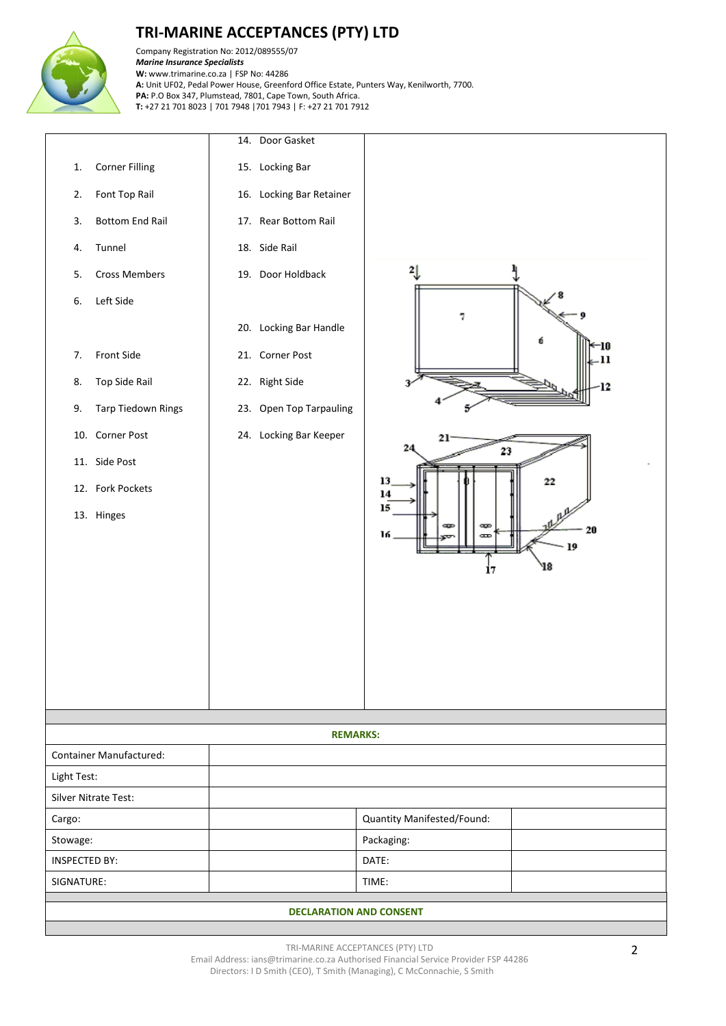

# **TRI-MARINE ACCEPTANCES (PTY) LTD**

Company Registration No: 2012/089555/07 *Marine Insurance Specialists*  **W:** [www.trimarine.co.za](http://www.trimarine.co.za/) | FSP No: 44286 **A:** Unit UF02, Pedal Power House, Greenford Office Estate, Punters Way, Kenilworth, 7700. **PA:** P.O Box 347, Plumstead, 7801, Cape Town, South Africa. **T:** +27 21 701 8023 | 701 7948 |701 7943 | F: +27 21 701 7912

|                                |                           | 14. Door Gasket            |                |    |  |  |  |
|--------------------------------|---------------------------|----------------------------|----------------|----|--|--|--|
| 1.                             | <b>Corner Filling</b>     | 15. Locking Bar            |                |    |  |  |  |
| 2.                             | Font Top Rail             | 16. Locking Bar Retainer   |                |    |  |  |  |
| 3.                             | <b>Bottom End Rail</b>    | 17. Rear Bottom Rail       |                |    |  |  |  |
| Tunnel<br>4.                   |                           | 18. Side Rail              |                |    |  |  |  |
| 5.                             | <b>Cross Members</b>      | 19. Door Holdback          | ᅨ              | 4  |  |  |  |
| Left Side<br>6.                |                           |                            |                |    |  |  |  |
|                                |                           | 20. Locking Bar Handle     |                |    |  |  |  |
| 7.                             | Front Side                | 21. Corner Post            |                | 10 |  |  |  |
| 8.                             | Top Side Rail             | 22. Right Side             |                | 12 |  |  |  |
| 9.                             | <b>Tarp Tiedown Rings</b> | 23. Open Top Tarpauling    |                |    |  |  |  |
| 10. Corner Post                |                           | 24. Locking Bar Keeper     | $21 -$<br>23   |    |  |  |  |
| 11. Side Post                  |                           |                            |                |    |  |  |  |
| 12. Fork Pockets               |                           |                            | 13<br>14       | 22 |  |  |  |
| 13. Hinges                     |                           |                            | 15<br>æ<br>æ   | 20 |  |  |  |
|                                |                           |                            | 16<br>$\infty$ |    |  |  |  |
|                                |                           |                            | 17             |    |  |  |  |
|                                |                           |                            |                |    |  |  |  |
|                                |                           |                            |                |    |  |  |  |
|                                |                           |                            |                |    |  |  |  |
|                                |                           |                            |                |    |  |  |  |
|                                |                           |                            |                |    |  |  |  |
|                                |                           | <b>REMARKS:</b>            |                |    |  |  |  |
| <b>Container Manufactured:</b> |                           |                            |                |    |  |  |  |
| Light Test:                    |                           |                            |                |    |  |  |  |
| Silver Nitrate Test:           |                           |                            |                |    |  |  |  |
| Cargo:                         |                           | Quantity Manifested/Found: |                |    |  |  |  |
| Stowage:                       |                           | Packaging:                 |                |    |  |  |  |
| <b>INSPECTED BY:</b>           |                           |                            | DATE:          |    |  |  |  |
| SIGNATURE:                     |                           |                            | TIME:          |    |  |  |  |
| <b>DECLARATION AND CONSENT</b> |                           |                            |                |    |  |  |  |
|                                |                           |                            |                |    |  |  |  |